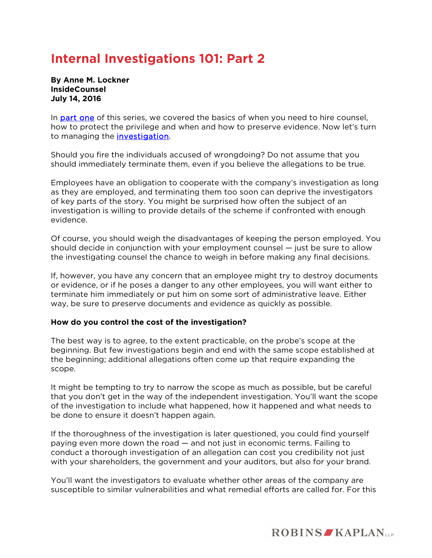## **Internal Investigations 101: Part 2**

**By Anne M. Lockner InsideCounsel July 14, 2016** 

In **part one** of this series, we covered the basics of when you need to hire counsel, how to protect the privilege and when and how to preserve evidence. Now let's turn to managing the [investigation.](http://www.insidecounsel.com/2016/06/28/how-e-discovery-is-helping-corporations-process-in)

Should you fire the individuals accused of wrongdoing? Do not assume that you should immediately terminate them, even if you believe the allegations to be true.

Employees have an obligation to cooperate with the company's investigation as long as they are employed, and terminating them too soon can deprive the investigators of key parts of the story. You might be surprised how often the subject of an investigation is willing to provide details of the scheme if confronted with enough evidence.

Of course, you should weigh the disadvantages of keeping the person employed. You should decide in conjunction with your employment counsel — just be sure to allow the investigating counsel the chance to weigh in before making any final decisions.

If, however, you have any concern that an employee might try to destroy documents or evidence, or if he poses a danger to any other employees, you will want either to terminate him immediately or put him on some sort of administrative leave. Either way, be sure to preserve documents and evidence as quickly as possible.

## **How do you control the cost of the investigation?**

The best way is to agree, to the extent practicable, on the probe's scope at the beginning. But few investigations begin and end with the same scope established at the beginning; additional allegations often come up that require expanding the scope.

It might be tempting to try to narrow the scope as much as possible, but be careful that you don't get in the way of the independent investigation. You'll want the scope of the investigation to include what happened, how it happened and what needs to be done to ensure it doesn't happen again.

If the thoroughness of the investigation is later questioned, you could find yourself paying even more down the road — and not just in economic terms. Failing to conduct a thorough investigation of an allegation can cost you credibility not just with your shareholders, the government and your auditors, but also for your brand.

You'll want the investigators to evaluate whether other areas of the company are susceptible to similar vulnerabilities and what remedial efforts are called for. For this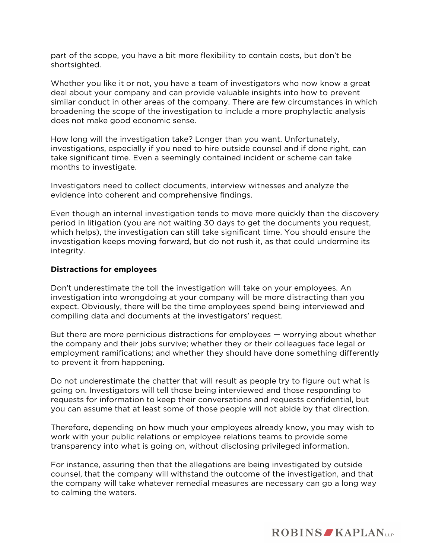part of the scope, you have a bit more flexibility to contain costs, but don't be shortsighted.

Whether you like it or not, you have a team of investigators who now know a great deal about your company and can provide valuable insights into how to prevent similar conduct in other areas of the company. There are few circumstances in which broadening the scope of the investigation to include a more prophylactic analysis does not make good economic sense.

How long will the investigation take? Longer than you want. Unfortunately, investigations, especially if you need to hire outside counsel and if done right, can take significant time. Even a seemingly contained incident or scheme can take months to investigate.

Investigators need to collect documents, interview witnesses and analyze the evidence into coherent and comprehensive findings.

Even though an internal investigation tends to move more quickly than the discovery period in litigation (you are not waiting 30 days to get the documents you request, which helps), the investigation can still take significant time. You should ensure the investigation keeps moving forward, but do not rush it, as that could undermine its integrity.

## **Distractions for employees**

Don't underestimate the toll the investigation will take on your employees. An investigation into wrongdoing at your company will be more distracting than you expect. Obviously, there will be the time employees spend being interviewed and compiling data and documents at the investigators' request.

But there are more pernicious distractions for employees — worrying about whether the company and their jobs survive; whether they or their colleagues face legal or employment ramifications; and whether they should have done something differently to prevent it from happening.

Do not underestimate the chatter that will result as people try to figure out what is going on. Investigators will tell those being interviewed and those responding to requests for information to keep their conversations and requests confidential, but you can assume that at least some of those people will not abide by that direction.

Therefore, depending on how much your employees already know, you may wish to work with your public relations or employee relations teams to provide some transparency into what is going on, without disclosing privileged information.

For instance, assuring then that the allegations are being investigated by outside counsel, that the company will withstand the outcome of the investigation, and that the company will take whatever remedial measures are necessary can go a long way to calming the waters.